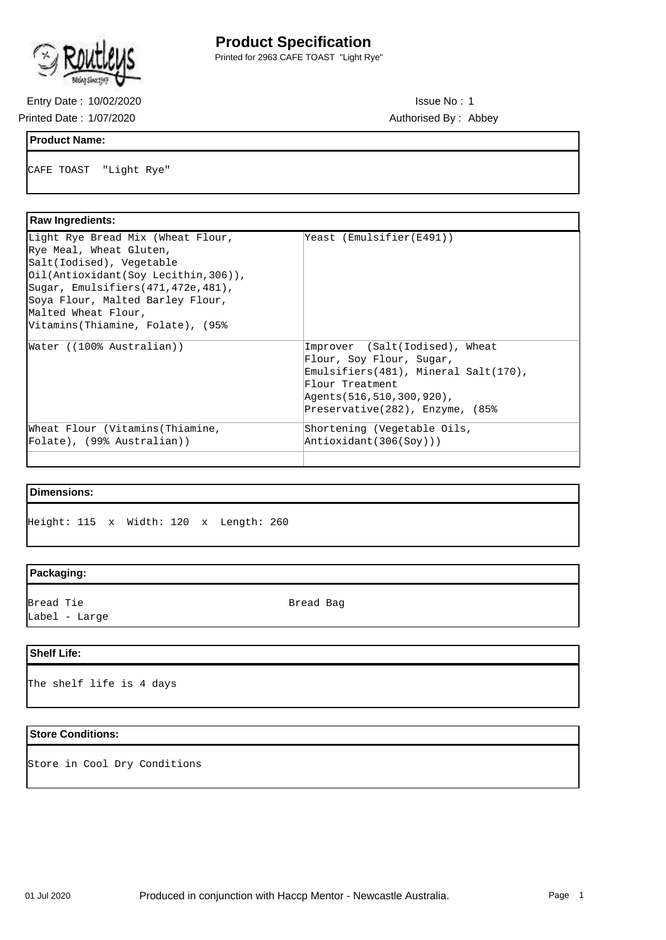

Printed for 2963 CAFE TOAST "Light Rye"

Entry Date : 10/02/2020 **ISSUE No. 1** ISSUE No : 1

Printed Date: 1/07/2020 **Authorised By: Abbey** 

## **Product Name:**

CAFE TOAST "Light Rye"

## **Raw Ingredients:**

| Light Rye Bread Mix (Wheat Flour,                   | Yeast (Emulsifier(E491))             |
|-----------------------------------------------------|--------------------------------------|
| Rye Meal, Wheat Gluten,                             |                                      |
| Salt(Iodised), Vegetable                            |                                      |
| Oil(Antioxidant(Soy Lecithin, 306)),                |                                      |
| $\text{Sugar}, \text{Emulsifiers}(471, 472e, 481),$ |                                      |
| Soya Flour, Malted Barley Flour,                    |                                      |
| Malted Wheat Flour,                                 |                                      |
| Vitamins (Thiamine, Folate), (95%)                  |                                      |
| Water ((100% Australian))                           | Improver (Salt(Iodised), Wheat       |
|                                                     | Flour, Soy Flour, Sugar,             |
|                                                     | Emulsifiers(481), Mineral Salt(170), |
|                                                     | Flour Treatment                      |
|                                                     | Agents(516,510,300,920),             |
|                                                     | Preservative(282), Enzyme, (85%)     |
| Wheat Flour (Vitamins(Thiamine,                     | Shortening (Vegetable Oils,          |
| Folate), (99% Australian))                          | Antioxidant(306(Soy))                |
|                                                     |                                      |

#### **Dimensions:**

Height: 115 x Width: 120 x Length: 260

#### **Packaging:**

Bread Tie **Bread Bag** Label - Large

## **Shelf Life:**

The shelf life is 4 days

#### **Store Conditions:**

Store in Cool Dry Conditions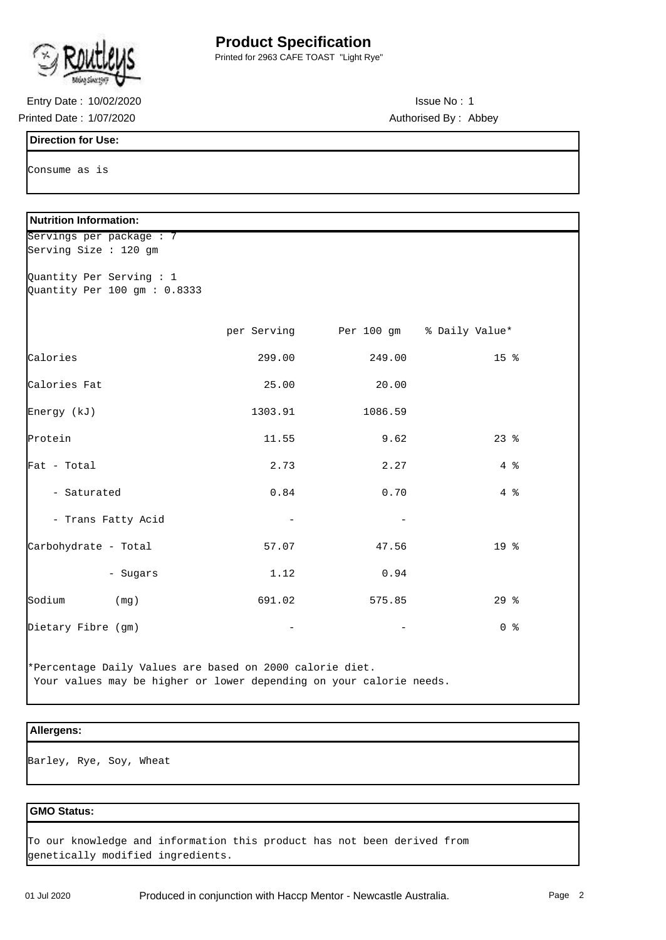

Printed for 2963 CAFE TOAST "Light Rye"

Entry Date : 10/02/2020 **ISSUE No. 1** ISSUE No : 1

Printed Date: 1/07/2020 <br>
Authorised By: Abbey

## **Direction for Use:**

Consume as is

| <b>Nutrition Information:</b>  |                          |                                       |                 |  |
|--------------------------------|--------------------------|---------------------------------------|-----------------|--|
| Servings per package : 7       |                          |                                       |                 |  |
| Serving Size : 120 gm          |                          |                                       |                 |  |
| Quantity Per Serving : 1       |                          |                                       |                 |  |
| Quantity Per 100 gm : $0.8333$ |                          |                                       |                 |  |
|                                |                          |                                       |                 |  |
|                                |                          |                                       |                 |  |
|                                |                          | per Serving Per 100 gm % Daily Value* |                 |  |
|                                |                          |                                       |                 |  |
| Calories                       | 299.00                   | 249.00                                | 15 <sup>8</sup> |  |
|                                |                          |                                       |                 |  |
| Calories Fat                   | 25.00                    | 20.00                                 |                 |  |
|                                |                          |                                       |                 |  |
| Energy (kJ)                    | 1303.91                  | 1086.59                               |                 |  |
| Protein                        | 11.55                    | 9.62                                  | $23$ %          |  |
|                                |                          |                                       |                 |  |
| Fat - Total                    | 2.73                     | 2.27                                  | 4%              |  |
|                                |                          |                                       |                 |  |
| - Saturated                    | 0.84                     | 0.70                                  | 4%              |  |
|                                |                          |                                       |                 |  |
| - Trans Fatty Acid             | $\overline{\phantom{m}}$ | $\overline{\phantom{m}}$              |                 |  |
|                                | 57.07                    | 47.56                                 | 19 <sup>°</sup> |  |
| Carbohydrate - Total           |                          |                                       |                 |  |
| - Sugars                       | 1.12                     | 0.94                                  |                 |  |
|                                |                          |                                       |                 |  |
| Sodium<br>(mg)                 | 691.02                   | 575.85                                | 29%             |  |
|                                |                          |                                       |                 |  |
| Dietary Fibre (gm)             |                          |                                       | 0 <sup>8</sup>  |  |
|                                |                          |                                       |                 |  |

\*Percentage Daily Values are based on 2000 calorie diet. Your values may be higher or lower depending on your calorie needs.

#### **Allergens:**

Barley, Rye, Soy, Wheat

## **GMO Status:**

To our knowledge and information this product has not been derived from genetically modified ingredients.